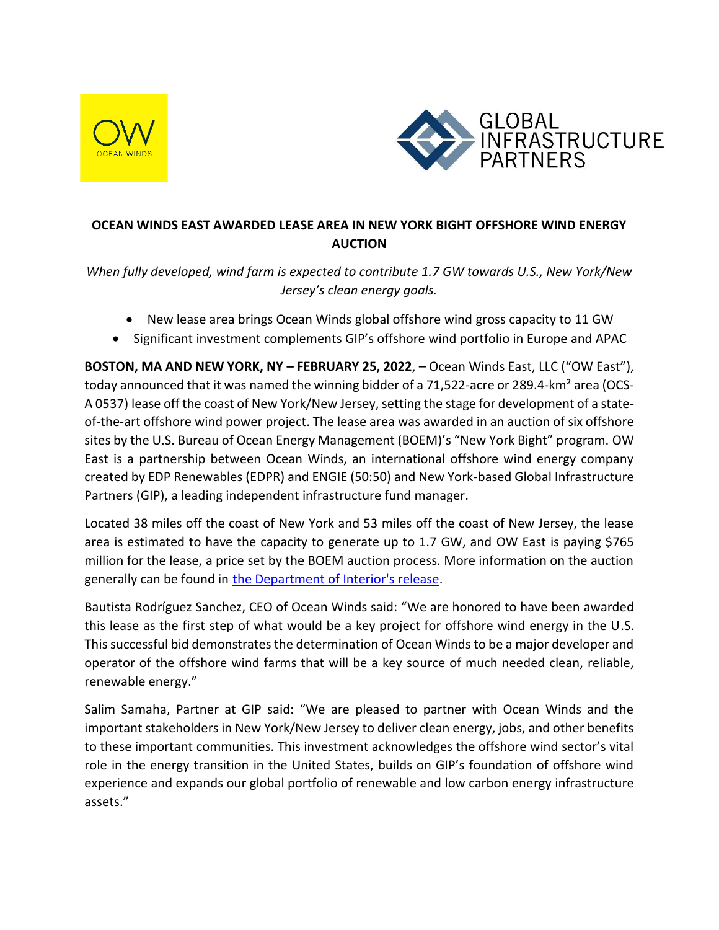



## **OCEAN WINDS EAST AWARDED LEASE AREA IN NEW YORK BIGHT OFFSHORE WIND ENERGY AUCTION**

*When fully developed, wind farm is expected to contribute 1.7 GW towards U.S., New York/New Jersey's clean energy goals.*

- New lease area brings Ocean Winds global offshore wind gross capacity to 11 GW
- Significant investment complements GIP's offshore wind portfolio in Europe and APAC

**BOSTON, MA AND NEW YORK, NY – FEBRUARY 25, 2022**, – Ocean Winds East, LLC ("OW East"), today announced that it was named the winning bidder of a 71,522-acre or 289.4-km<sup>2</sup> area (OCS-A 0537) lease off the coast of New York/New Jersey, setting the stage for development of a stateof-the-art offshore wind power project. The lease area was awarded in an auction of six offshore sites by the U.S. Bureau of Ocean Energy Management (BOEM)'s "New York Bight" program. OW East is a partnership between Ocean Winds, an international offshore wind energy company created by EDP Renewables (EDPR) and ENGIE (50:50) and New York-based Global Infrastructure Partners (GIP), a leading independent infrastructure fund manager.

Located 38 miles off the coast of New York and 53 miles off the coast of New Jersey, the lease area is estimated to have the capacity to generate up to 1.7 GW, and OW East is paying \$765 million for the lease, a price set by the BOEM auction process. More information on the auction generally can be found in [the Department of Interior's release.](https://www.doi.gov/pressreleases/biden-harris-administration-sets-offshore-energy-records-437-billion-winning-bids-wind)

Bautista Rodríguez Sanchez, CEO of Ocean Winds said: "We are honored to have been awarded this lease as the first step of what would be a key project for offshore wind energy in the U.S. This successful bid demonstrates the determination of Ocean Winds to be a major developer and operator of the offshore wind farms that will be a key source of much needed clean, reliable, renewable energy."

Salim Samaha, Partner at GIP said: "We are pleased to partner with Ocean Winds and the important stakeholders in New York/New Jersey to deliver clean energy, jobs, and other benefits to these important communities. This investment acknowledges the offshore wind sector's vital role in the energy transition in the United States, builds on GIP's foundation of offshore wind experience and expands our global portfolio of renewable and low carbon energy infrastructure assets."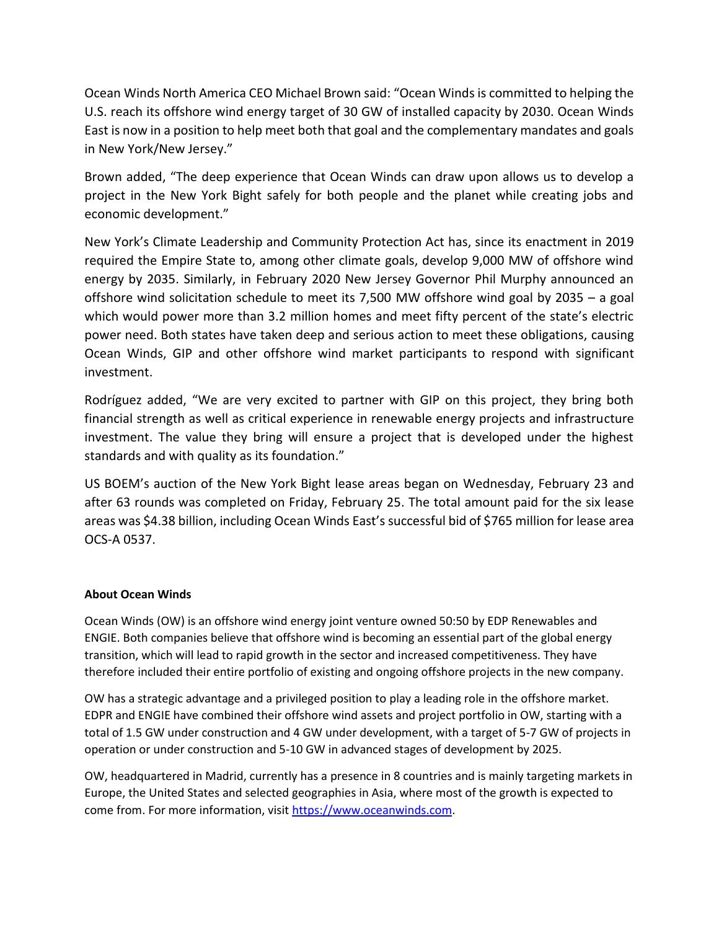Ocean Winds North America CEO Michael Brown said: "Ocean Winds is committed to helping the U.S. reach its offshore wind energy target of 30 GW of installed capacity by 2030. Ocean Winds East is now in a position to help meet both that goal and the complementary mandates and goals in New York/New Jersey."

Brown added, "The deep experience that Ocean Winds can draw upon allows us to develop a project in the New York Bight safely for both people and the planet while creating jobs and economic development."

New York's Climate Leadership and Community Protection Act has, since its enactment in 2019 required the Empire State to, among other climate goals, develop 9,000 MW of offshore wind energy by 2035. Similarly, in February 2020 New Jersey Governor Phil Murphy announced an offshore wind solicitation schedule to meet its 7,500 MW offshore wind goal by 2035 – a goal which would power more than 3.2 million homes and meet fifty percent of the state's electric power need. Both states have taken deep and serious action to meet these obligations, causing Ocean Winds, GIP and other offshore wind market participants to respond with significant investment.

Rodríguez added, "We are very excited to partner with GIP on this project, they bring both financial strength as well as critical experience in renewable energy projects and infrastructure investment. The value they bring will ensure a project that is developed under the highest standards and with quality as its foundation."

US BOEM's auction of the New York Bight lease areas began on Wednesday, February 23 and after 63 rounds was completed on Friday, February 25. The total amount paid for the six lease areas was \$4.38 billion, including Ocean Winds East's successful bid of \$765 million for lease area OCS-A 0537.

## **About Ocean Winds**

Ocean Winds (OW) is an offshore wind energy joint venture owned 50:50 by EDP Renewables and ENGIE. Both companies believe that offshore wind is becoming an essential part of the global energy transition, which will lead to rapid growth in the sector and increased competitiveness. They have therefore included their entire portfolio of existing and ongoing offshore projects in the new company.

OW has a strategic advantage and a privileged position to play a leading role in the offshore market. EDPR and ENGIE have combined their offshore wind assets and project portfolio in OW, starting with a total of 1.5 GW under construction and 4 GW under development, with a target of 5-7 GW of projects in operation or under construction and 5-10 GW in advanced stages of development by 2025.

OW, headquartered in Madrid, currently has a presence in 8 countries and is mainly targeting markets in Europe, the United States and selected geographies in Asia, where most of the growth is expected to come from. For more information, visi[t https://www.oceanwinds.com.](https://www.oceanwinds.com/)